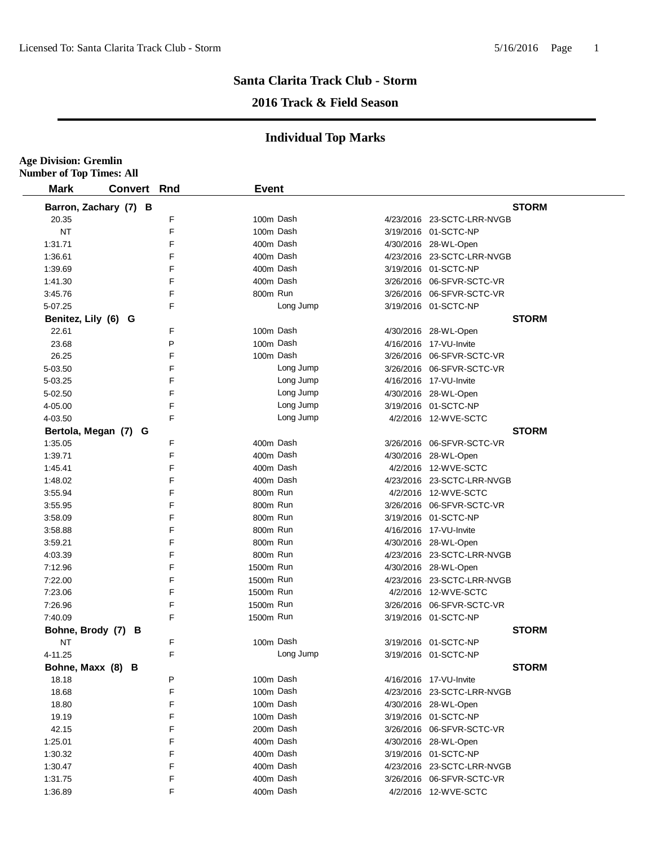**Age Division: Gremlin**

## **Santa Clarita Track Club - Storm**

## **2016 Track & Field Season**

| <b>Mark</b><br><b>Convert</b> | Rnd    | <b>Event</b> |           |                            |
|-------------------------------|--------|--------------|-----------|----------------------------|
| Barron, Zachary (7) B         |        |              |           | <b>STORM</b>               |
| 20.35                         | F      |              | 100m Dash | 4/23/2016 23-SCTC-LRR-NVGB |
| <b>NT</b>                     | F      |              | 100m Dash | 3/19/2016 01-SCTC-NP       |
| 1:31.71                       | E      | 400m Dash    |           | 4/30/2016 28-WL-Open       |
| 1:36.61                       | F      |              | 400m Dash | 4/23/2016 23-SCTC-LRR-NVGB |
| 1:39.69                       | E      |              | 400m Dash | 3/19/2016 01-SCTC-NP       |
| 1:41.30                       | F      | 400m Dash    |           | 3/26/2016 06-SFVR-SCTC-VR  |
| 3:45.76                       | E      | 800m Run     |           | 3/26/2016 06-SFVR-SCTC-VR  |
| 5-07.25                       | F      |              | Long Jump | 3/19/2016 01-SCTC-NP       |
| Benitez, Lily (6) G           |        |              |           | <b>STORM</b>               |
| 22.61                         | F      | 100m Dash    |           | 4/30/2016 28-WL-Open       |
| 23.68                         | P      | 100m Dash    |           | 4/16/2016 17-VU-Invite     |
|                               | F      |              | 100m Dash |                            |
| 26.25                         | F      |              | Long Jump | 3/26/2016 06-SFVR-SCTC-VR  |
| 5-03.50                       | F      |              | Long Jump | 3/26/2016 06-SFVR-SCTC-VR  |
| 5-03.25                       | F      |              | Long Jump | 4/16/2016 17-VU-Invite     |
| 5-02.50                       |        |              |           | 4/30/2016 28-WL-Open       |
| 4-05.00                       | F      |              | Long Jump | 3/19/2016 01-SCTC-NP       |
| 4-03.50                       | F      |              | Long Jump | 4/2/2016 12-WVE-SCTC       |
| Bertola, Megan (7) G          |        | 400m Dash    |           | <b>STORM</b>               |
| 1:35.05                       | F<br>F |              |           | 3/26/2016 06-SFVR-SCTC-VR  |
| 1:39.71                       |        | 400m Dash    |           | 4/30/2016 28-WL-Open       |
| 1:45.41                       | F      |              | 400m Dash | 4/2/2016 12-WVE-SCTC       |
| 1:48.02                       | F      |              | 400m Dash | 4/23/2016 23-SCTC-LRR-NVGB |
| 3:55.94                       | F      | 800m Run     |           | 4/2/2016 12-WVE-SCTC       |
| 3:55.95                       | E      | 800m Run     |           | 3/26/2016 06-SFVR-SCTC-VR  |
| 3:58.09                       | F      | 800m Run     |           | 3/19/2016 01-SCTC-NP       |
| 3:58.88                       | F      | 800m Run     |           | 4/16/2016 17-VU-Invite     |
| 3:59.21                       | F      | 800m Run     |           | 4/30/2016 28-WL-Open       |
| 4:03.39                       | F      | 800m Run     |           | 4/23/2016 23-SCTC-LRR-NVGB |
| 7:12.96                       | F      | 1500m Run    |           | 4/30/2016 28-WL-Open       |
| 7:22.00                       | F      | 1500m Run    |           | 4/23/2016 23-SCTC-LRR-NVGB |
| 7:23.06                       | F      | 1500m Run    |           | 4/2/2016 12-WVE-SCTC       |
| 7:26.96                       | F      | 1500m Run    |           | 3/26/2016 06-SFVR-SCTC-VR  |
| 7:40.09                       | F      | 1500m Run    |           | 3/19/2016 01-SCTC-NP       |
| Bohne, Brody (7) B            |        |              |           | <b>STORM</b>               |
| NT                            | F      | 100m Dash    |           | 3/19/2016 01-SCTC-NP       |
| 4-11.25                       | F      |              | Long Jump | 3/19/2016 01-SCTC-NP       |
| Bohne, Maxx (8) B             |        |              |           | <b>STORM</b>               |
| 18.18                         | P      | 100m Dash    |           | 4/16/2016 17-VU-Invite     |
| 18.68                         | F      |              | 100m Dash | 4/23/2016 23-SCTC-LRR-NVGB |
| 18.80                         | F      |              | 100m Dash | 4/30/2016 28-WL-Open       |
| 19.19                         | F      | 100m Dash    |           | 3/19/2016 01-SCTC-NP       |
| 42.15                         | F      |              | 200m Dash | 3/26/2016 06-SFVR-SCTC-VR  |
| 1:25.01                       | F      | 400m Dash    |           | 4/30/2016 28-WL-Open       |
| 1:30.32                       | F      | 400m Dash    |           | 3/19/2016 01-SCTC-NP       |
| 1:30.47                       | F      | 400m Dash    |           | 4/23/2016 23-SCTC-LRR-NVGB |
| 1:31.75                       | F      | 400m Dash    |           | 3/26/2016 06-SFVR-SCTC-VR  |
| 1:36.89                       | F      |              | 400m Dash | 4/2/2016 12-WVE-SCTC       |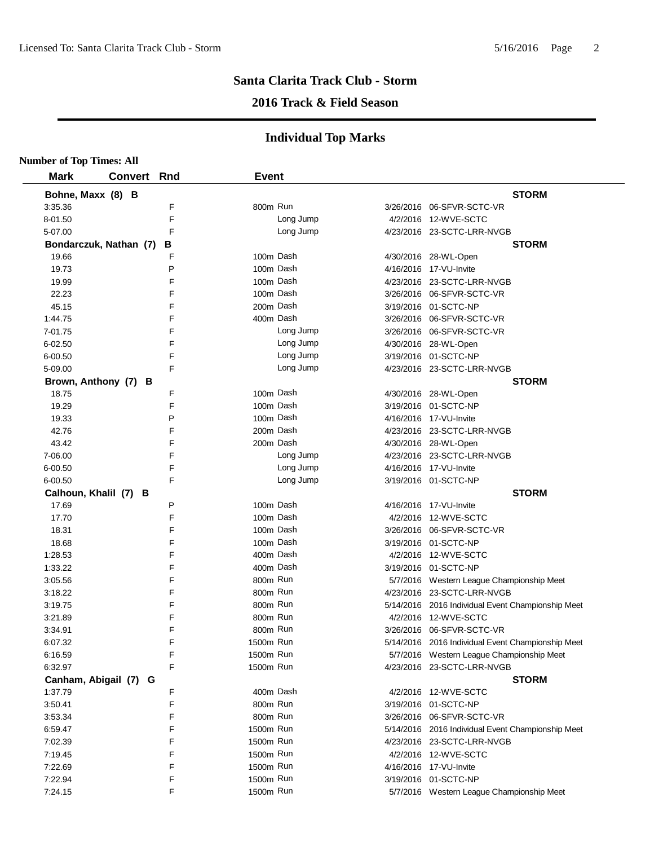#### **2016 Track & Field Season**

| <b>Number of Top Times: All</b> |                    |   |              |           |                                                   |
|---------------------------------|--------------------|---|--------------|-----------|---------------------------------------------------|
| <b>Mark</b>                     | <b>Convert Rnd</b> |   | <b>Event</b> |           |                                                   |
| Bohne, Maxx (8) B               |                    |   |              |           | <b>STORM</b>                                      |
| 3:35.36                         |                    | F | 800m Run     |           | 3/26/2016 06-SFVR-SCTC-VR                         |
| 8-01.50                         |                    | F |              | Long Jump | 4/2/2016 12-WVE-SCTC                              |
| 5-07.00                         |                    | F |              | Long Jump | 4/23/2016 23-SCTC-LRR-NVGB                        |
| Bondarczuk, Nathan (7)          |                    | В |              |           | <b>STORM</b>                                      |
| 19.66                           |                    | F | 100m Dash    |           | 4/30/2016 28-WL-Open                              |
| 19.73                           |                    | P | 100m Dash    |           | 4/16/2016 17-VU-Invite                            |
| 19.99                           |                    | F | 100m Dash    |           | 4/23/2016 23-SCTC-LRR-NVGB                        |
| 22.23                           |                    | F | 100m Dash    |           | 3/26/2016 06-SFVR-SCTC-VR                         |
| 45.15                           |                    | F | 200m Dash    |           | 3/19/2016 01-SCTC-NP                              |
| 1:44.75                         |                    | F | 400m Dash    |           | 3/26/2016 06-SFVR-SCTC-VR                         |
| 7-01.75                         |                    | F |              | Long Jump | 3/26/2016 06-SFVR-SCTC-VR                         |
| $6 - 02.50$                     |                    | F |              | Long Jump | 4/30/2016 28-WL-Open                              |
| 6-00.50                         |                    | F |              | Long Jump | 3/19/2016 01-SCTC-NP                              |
| 5-09.00                         |                    | F |              | Long Jump | 4/23/2016 23-SCTC-LRR-NVGB                        |
| Brown, Anthony (7) B            |                    |   |              |           | <b>STORM</b>                                      |
| 18.75                           |                    | F | 100m Dash    |           | 4/30/2016 28-WL-Open                              |
| 19.29                           |                    | F | 100m Dash    |           | 3/19/2016 01-SCTC-NP                              |
| 19.33                           |                    | P | 100m Dash    |           | 4/16/2016 17-VU-Invite                            |
| 42.76                           |                    | F | 200m Dash    |           | 4/23/2016 23-SCTC-LRR-NVGB                        |
| 43.42                           |                    | F | 200m Dash    |           | 4/30/2016 28-WL-Open                              |
| 7-06.00                         |                    | F |              | Long Jump | 4/23/2016 23-SCTC-LRR-NVGB                        |
| 6-00.50                         |                    | F |              | Long Jump | 4/16/2016 17-VU-Invite                            |
| 6-00.50                         |                    | F |              | Long Jump | 3/19/2016 01-SCTC-NP                              |
| Calhoun, Khalil (7)             | в                  |   |              |           | <b>STORM</b>                                      |
| 17.69                           |                    | P | 100m Dash    |           | 4/16/2016 17-VU-Invite                            |
| 17.70                           |                    | F | 100m Dash    |           | 4/2/2016 12-WVE-SCTC                              |
| 18.31                           |                    | F | 100m Dash    |           | 3/26/2016 06-SFVR-SCTC-VR                         |
| 18.68                           |                    | F | 100m Dash    |           | 3/19/2016 01-SCTC-NP                              |
| 1:28.53                         |                    | F | 400m Dash    |           | 4/2/2016 12-WVE-SCTC                              |
| 1:33.22                         |                    | F | 400m Dash    |           | 3/19/2016 01-SCTC-NP                              |
| 3:05.56                         |                    | F | 800m Run     |           | 5/7/2016 Western League Championship Meet         |
| 3:18.22                         |                    | F | 800m Run     |           | 4/23/2016 23-SCTC-LRR-NVGB                        |
| 3:19.75                         |                    | F | 800m Run     |           | 5/14/2016 2016 Individual Event Championship Meet |
| 3:21.89                         |                    | F | 800m Run     |           | 4/2/2016 12-WVE-SCTC                              |
| 3:34.91                         |                    | F | 800m Run     |           |                                                   |
| 6:07.32                         |                    | F | 1500m Run    |           | 5/14/2016 2016 Individual Event Championship Meet |
| 6:16.59                         |                    | F | 1500m Run    |           | 5/7/2016 Western League Championship Meet         |
| 6:32.97                         |                    | F | 1500m Run    |           | 4/23/2016 23-SCTC-LRR-NVGB                        |
| Canham, Abigail (7) G           |                    |   |              |           | <b>STORM</b>                                      |
| 1:37.79                         |                    | F | 400m Dash    |           | 4/2/2016 12-WVE-SCTC                              |
| 3:50.41                         |                    | F | 800m Run     |           | 3/19/2016 01-SCTC-NP                              |
| 3:53.34                         |                    | F | 800m Run     |           | 3/26/2016 06-SFVR-SCTC-VR                         |
| 6:59.47                         |                    | F | 1500m Run    |           | 5/14/2016 2016 Individual Event Championship Meet |
| 7:02.39                         |                    | F | 1500m Run    |           | 4/23/2016 23-SCTC-LRR-NVGB                        |
| 7:19.45                         |                    | F | 1500m Run    |           | 4/2/2016 12-WVE-SCTC                              |
| 7:22.69                         |                    | F | 1500m Run    |           | 4/16/2016 17-VU-Invite                            |
| 7:22.94                         |                    | F | 1500m Run    |           | 3/19/2016 01-SCTC-NP                              |
| 7:24.15                         |                    | F | 1500m Run    |           | 5/7/2016 Western League Championship Meet         |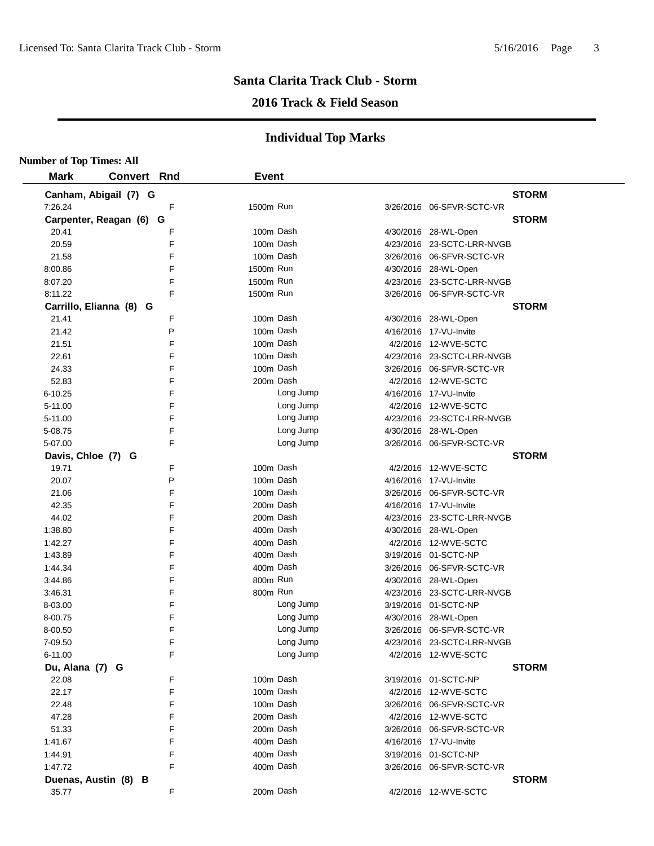#### **2016 Track & Field Season**

| <b>Mark</b>             | <b>Convert Rnd</b> |   | <b>Event</b> |                              |
|-------------------------|--------------------|---|--------------|------------------------------|
| Canham, Abigail (7) G   |                    |   |              | <b>STORM</b>                 |
| 7:26.24                 |                    | F | 1500m Run    | 3/26/2016 06-SFVR-SCTC-VR    |
| Carpenter, Reagan (6) G |                    |   |              | <b>STORM</b>                 |
| 20.41                   |                    | F | 100m Dash    | 4/30/2016 28-WL-Open         |
| 20.59                   |                    | F | 100m Dash    | 4/23/2016 23-SCTC-LRR-NVGB   |
| 21.58                   |                    | F | 100m Dash    | 3/26/2016 06-SFVR-SCTC-VR    |
| 8:00.86                 |                    | F | 1500m Run    | 4/30/2016 28-WL-Open         |
| 8:07.20                 |                    | F | 1500m Run    | 4/23/2016 23-SCTC-LRR-NVGB   |
| 8:11.22                 |                    | F | 1500m Run    | 3/26/2016 06-SFVR-SCTC-VR    |
| Carrillo, Elianna (8) G |                    |   |              | <b>STORM</b>                 |
| 21.41                   |                    | F | 100m Dash    | 4/30/2016 28-WL-Open         |
| 21.42                   |                    | P | 100m Dash    | 4/16/2016 17-VU-Invite       |
| 21.51                   |                    | F | 100m Dash    | 4/2/2016 12-WVE-SCTC         |
| 22.61                   |                    | F | 100m Dash    | 4/23/2016 23-SCTC-LRR-NVGB   |
| 24.33                   |                    | F | 100m Dash    |                              |
| 52.83                   |                    | F | 200m Dash    | 4/2/2016 12-WVE-SCTC         |
| $6 - 10.25$             |                    | F | Long Jump    | 4/16/2016 17-VU-Invite       |
| 5-11.00                 |                    | F | Long Jump    | 4/2/2016 12-WVE-SCTC         |
| 5-11.00                 |                    | F | Long Jump    | 4/23/2016 23-SCTC-LRR-NVGB   |
| 5-08.75                 |                    | E | Long Jump    | 4/30/2016 28-WL-Open         |
| 5-07.00                 |                    | F | Long Jump    | 3/26/2016 06-SFVR-SCTC-VR    |
| Davis, Chloe (7) G      |                    |   |              | <b>STORM</b>                 |
| 19.71                   |                    | F | 100m Dash    | 4/2/2016 12-WVE-SCTC         |
| 20.07                   |                    | P | 100m Dash    | 4/16/2016 17-VU-Invite       |
| 21.06                   |                    | F | 100m Dash    | 3/26/2016 06-SFVR-SCTC-VR    |
| 42.35                   |                    | F | 200m Dash    | 4/16/2016 17-VU-Invite       |
| 44.02                   |                    | F | 200m Dash    | 4/23/2016 23-SCTC-LRR-NVGB   |
| 1:38.80                 |                    | F | 400m Dash    | 4/30/2016 28-WL-Open         |
| 1:42.27                 |                    | F | 400m Dash    | 4/2/2016 12-WVE-SCTC         |
| 1:43.89                 |                    | F | 400m Dash    | 3/19/2016 01-SCTC-NP         |
| 1:44.34                 |                    | F | 400m Dash    | 3/26/2016 06-SFVR-SCTC-VR    |
| 3:44.86                 |                    | F | 800m Run     | 4/30/2016 28-WL-Open         |
| 3:46.31                 |                    | F | 800m Run     | 4/23/2016 23-SCTC-LRR-NVGB   |
| 8-03.00                 |                    | F | Long Jump    | 3/19/2016 01-SCTC-NP         |
| 8-00.75                 |                    | F | Long Jump    | 4/30/2016 28-WL-Open         |
| 8-00.50                 |                    | F | Long Jump    | 3/26/2016 06-SFVR-SCTC-VR    |
| 7-09.50                 |                    | F | Long Jump    | 4/23/2016 23-SCTC-LRR-NVGB   |
| 6-11.00                 |                    | F | Long Jump    | 4/2/2016 12-WVE-SCTC         |
| Du, Alana (7) G         |                    |   |              | <b>STORM</b>                 |
| 22.08                   |                    | F | 100m Dash    | 3/19/2016  01-SCTC-NP        |
| 22.17                   |                    | F | 100m Dash    | 4/2/2016 12-WVE-SCTC         |
| 22.48                   |                    | F | 100m Dash    | 3/26/2016    06-SFVR-SCTC-VR |
| 47.28                   |                    | F | 200m Dash    | 4/2/2016 12-WVE-SCTC         |
| 51.33                   |                    | F | 200m Dash    | 3/26/2016 06-SFVR-SCTC-VR    |
| 1:41.67                 |                    | F | 400m Dash    | 4/16/2016 17-VU-Invite       |
| 1:44.91                 |                    | F | 400m Dash    | 3/19/2016 01-SCTC-NP         |
| 1:47.72                 |                    | F | 400m Dash    | 3/26/2016 06-SFVR-SCTC-VR    |
| Duenas, Austin (8) B    |                    |   |              | <b>STORM</b>                 |
| 35.77                   |                    | F | 200m Dash    | 4/2/2016 12-WVE-SCTC         |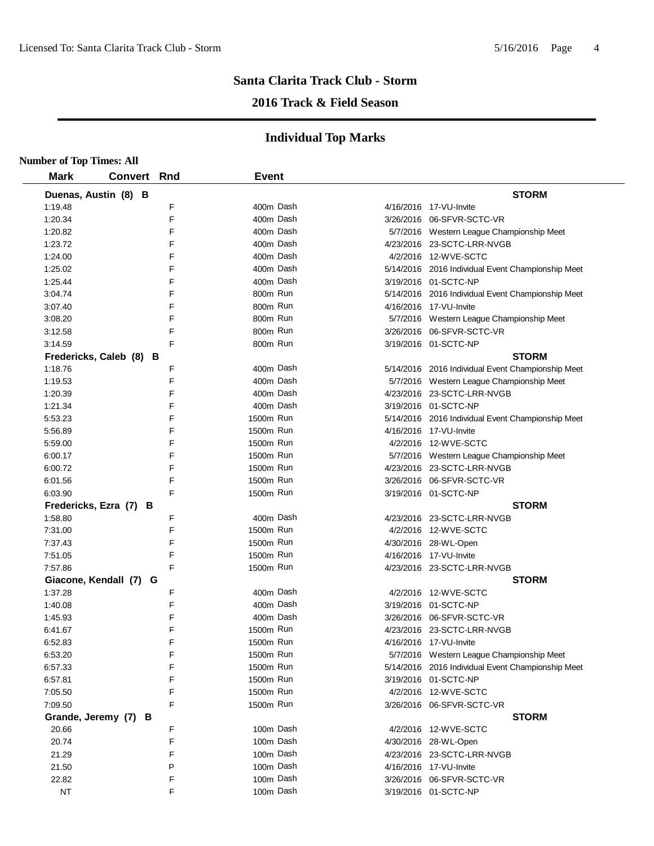## **2016 Track & Field Season**

| <b>Number of Top Times: All</b> |                         |     |              |                                                   |
|---------------------------------|-------------------------|-----|--------------|---------------------------------------------------|
| <b>Mark</b>                     | <b>Convert</b>          | Rnd | <b>Event</b> |                                                   |
|                                 | Duenas, Austin (8) B    |     |              | <b>STORM</b>                                      |
| 1:19.48                         |                         | F   | 400m Dash    | 4/16/2016 17-VU-Invite                            |
| 1:20.34                         |                         | F   | 400m Dash    | 3/26/2016 06-SFVR-SCTC-VR                         |
| 1:20.82                         |                         | F   | 400m Dash    | 5/7/2016 Western League Championship Meet         |
| 1:23.72                         |                         | F   | 400m Dash    | 4/23/2016 23-SCTC-LRR-NVGB                        |
| 1:24.00                         |                         | F   | 400m Dash    | 4/2/2016 12-WVE-SCTC                              |
| 1:25.02                         |                         | F   | 400m Dash    | 5/14/2016 2016 Individual Event Championship Meet |
| 1:25.44                         |                         | F   | 400m Dash    | 3/19/2016 01-SCTC-NP                              |
| 3:04.74                         |                         | F   | 800m Run     | 5/14/2016 2016 Individual Event Championship Meet |
| 3:07.40                         |                         | F   | 800m Run     | 4/16/2016 17-VU-Invite                            |
| 3:08.20                         |                         | F   | 800m Run     | 5/7/2016 Western League Championship Meet         |
| 3:12.58                         |                         | F   | 800m Run     |                                                   |
| 3:14.59                         |                         | F   | 800m Run     | 3/19/2016 01-SCTC-NP                              |
|                                 | Fredericks, Caleb (8) B |     |              | <b>STORM</b>                                      |
| 1:18.76                         |                         | F   | 400m Dash    | 5/14/2016 2016 Individual Event Championship Meet |
| 1:19.53                         |                         | F   | 400m Dash    | 5/7/2016 Western League Championship Meet         |
| 1:20.39                         |                         | F   | 400m Dash    | 4/23/2016 23-SCTC-LRR-NVGB                        |
| 1:21.34                         |                         | F   | 400m Dash    | 3/19/2016 01-SCTC-NP                              |
| 5:53.23                         |                         | F   | 1500m Run    | 5/14/2016 2016 Individual Event Championship Meet |
| 5:56.89                         |                         | F   | 1500m Run    | 4/16/2016 17-VU-Invite                            |
| 5:59.00                         |                         | F   | 1500m Run    | 4/2/2016 12-WVE-SCTC                              |
| 6:00.17                         |                         | F   | 1500m Run    | 5/7/2016 Western League Championship Meet         |
| 6:00.72                         |                         | F   | 1500m Run    | 4/23/2016 23-SCTC-LRR-NVGB                        |
| 6:01.56                         |                         | F   | 1500m Run    | 3/26/2016 06-SFVR-SCTC-VR                         |
| 6:03.90                         |                         | F   | 1500m Run    | 3/19/2016 01-SCTC-NP                              |
|                                 | Fredericks, Ezra (7) B  |     |              | <b>STORM</b>                                      |
| 1:58.80                         |                         | F   | 400m Dash    | 4/23/2016 23-SCTC-LRR-NVGB                        |
| 7:31.00                         |                         | F   | 1500m Run    | 4/2/2016 12-WVE-SCTC                              |
| 7:37.43                         |                         | F   | 1500m Run    | 4/30/2016 28-WL-Open                              |
| 7:51.05                         |                         | F   | 1500m Run    | 4/16/2016 17-VU-Invite                            |
| 7:57.86                         |                         | F   | 1500m Run    | 4/23/2016 23-SCTC-LRR-NVGB                        |
|                                 |                         |     |              | <b>STORM</b>                                      |
| 1:37.28                         | Giacone, Kendall (7) G  | F   | 400m Dash    | 4/2/2016 12-WVE-SCTC                              |
| 1:40.08                         |                         | F   | 400m Dash    | 3/19/2016 01-SCTC-NP                              |
| 1:45.93                         |                         | F   | 400m Dash    | 3/26/2016 06-SFVR-SCTC-VR                         |
| 6:41.67                         |                         | F   | 1500m Run    | 4/23/2016 23-SCTC-LRR-NVGB                        |
| 6:52.83                         |                         | F   | 1500m Run    | 4/16/2016 17-VU-Invite                            |
| 6:53.20                         |                         | F   | 1500m Run    |                                                   |
|                                 |                         | F   | 1500m Run    | 5/7/2016 Western League Championship Meet         |
| 6:57.33                         |                         | F   | 1500m Run    | 5/14/2016 2016 Individual Event Championship Meet |
| 6:57.81                         |                         | F   | 1500m Run    | 3/19/2016 01-SCTC-NP<br>4/2/2016 12-WVE-SCTC      |
| 7:05.50                         |                         | F   | 1500m Run    |                                                   |
| 7:09.50                         |                         |     |              | 3/26/2016 06-SFVR-SCTC-VR                         |
|                                 | Grande, Jeremy (7) B    |     |              | <b>STORM</b>                                      |
| 20.66                           |                         | F   | 100m Dash    | 4/2/2016 12-WVE-SCTC                              |
| 20.74                           |                         | F   | 100m Dash    | 4/30/2016 28-WL-Open                              |
| 21.29                           |                         | F   | 100m Dash    | 4/23/2016 23-SCTC-LRR-NVGB                        |
| 21.50                           |                         | P   | 100m Dash    | 4/16/2016 17-VU-Invite                            |
| 22.82                           |                         | F   | 100m Dash    | 3/26/2016 06-SFVR-SCTC-VR                         |
| <b>NT</b>                       |                         | F   | 100m Dash    | 3/19/2016 01-SCTC-NP                              |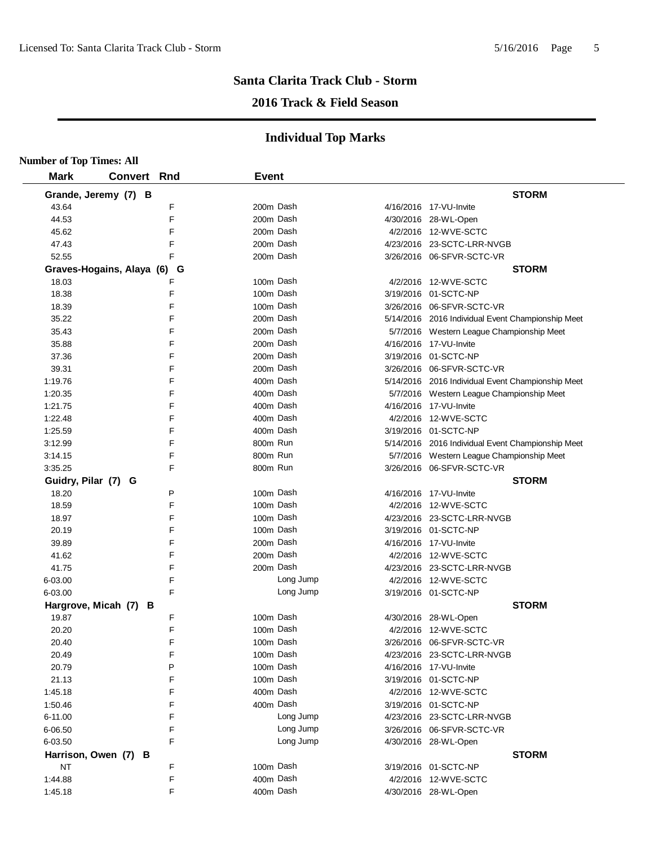## **2016 Track & Field Season**

| <b>Number of Top Times: All</b> |                             |   |              |           |                                                   |
|---------------------------------|-----------------------------|---|--------------|-----------|---------------------------------------------------|
| <b>Mark</b>                     | <b>Convert Rnd</b>          |   | <b>Event</b> |           |                                                   |
|                                 | Grande, Jeremy (7) B        |   |              |           | <b>STORM</b>                                      |
| 43.64                           |                             | F |              | 200m Dash | 4/16/2016 17-VU-Invite                            |
| 44.53                           |                             | F |              | 200m Dash | 4/30/2016 28-WL-Open                              |
| 45.62                           |                             | F |              | 200m Dash | 4/2/2016 12-WVE-SCTC                              |
| 47.43                           |                             | F |              | 200m Dash | 4/23/2016 23-SCTC-LRR-NVGB                        |
| 52.55                           |                             | F |              | 200m Dash | 3/26/2016 06-SFVR-SCTC-VR                         |
|                                 | Graves-Hogains, Alaya (6) G |   |              |           | <b>STORM</b>                                      |
| 18.03                           |                             | F |              | 100m Dash | 4/2/2016 12-WVE-SCTC                              |
| 18.38                           |                             | F |              | 100m Dash | 3/19/2016 01-SCTC-NP                              |
| 18.39                           |                             | F |              | 100m Dash | 3/26/2016 06-SFVR-SCTC-VR                         |
| 35.22                           |                             | F |              | 200m Dash | 5/14/2016 2016 Individual Event Championship Meet |
| 35.43                           |                             | F |              | 200m Dash | 5/7/2016 Western League Championship Meet         |
| 35.88                           |                             | F |              | 200m Dash | 4/16/2016 17-VU-Invite                            |
| 37.36                           |                             | F |              | 200m Dash | 3/19/2016 01-SCTC-NP                              |
| 39.31                           |                             | F |              | 200m Dash | 3/26/2016 06-SFVR-SCTC-VR                         |
| 1:19.76                         |                             | F |              | 400m Dash | 5/14/2016 2016 Individual Event Championship Meet |
| 1:20.35                         |                             | F |              | 400m Dash | 5/7/2016 Western League Championship Meet         |
| 1:21.75                         |                             | F |              | 400m Dash | 4/16/2016 17-VU-Invite                            |
| 1:22.48                         |                             | F |              | 400m Dash | 4/2/2016 12-WVE-SCTC                              |
| 1:25.59                         |                             | F |              | 400m Dash | 3/19/2016 01-SCTC-NP                              |
| 3:12.99                         |                             | F | 800m Run     |           | 5/14/2016 2016 Individual Event Championship Meet |
| 3:14.15                         |                             | F | 800m Run     |           | 5/7/2016 Western League Championship Meet         |
| 3:35.25                         |                             | F | 800m Run     |           |                                                   |
| Guidry, Pilar (7) G             |                             |   |              |           | <b>STORM</b>                                      |
| 18.20                           |                             | P |              | 100m Dash | 4/16/2016 17-VU-Invite                            |
| 18.59                           |                             | F |              | 100m Dash | 4/2/2016 12-WVE-SCTC                              |
| 18.97                           |                             | F |              | 100m Dash | 4/23/2016 23-SCTC-LRR-NVGB                        |
| 20.19                           |                             | F |              | 100m Dash | 3/19/2016 01-SCTC-NP                              |
| 39.89                           |                             | F |              | 200m Dash | 4/16/2016 17-VU-Invite                            |
| 41.62                           |                             | F |              | 200m Dash | 4/2/2016 12-WVE-SCTC                              |
| 41.75                           |                             | F |              | 200m Dash | 4/23/2016 23-SCTC-LRR-NVGB                        |
| 6-03.00                         |                             | F |              | Long Jump | 4/2/2016 12-WVE-SCTC                              |
| 6-03.00                         |                             | F |              | Long Jump | 3/19/2016 01-SCTC-NP                              |
|                                 | Hargrove, Micah (7) B       |   |              |           | <b>STORM</b>                                      |
| 19.87                           |                             | F |              | 100m Dash | 4/30/2016 28-WL-Open                              |
| 20.20                           |                             | F |              | 100m Dash | 4/2/2016 12-WVE-SCTC                              |
| 20.40                           |                             | F |              | 100m Dash |                                                   |
| 20.49                           |                             | F |              | 100m Dash | 4/23/2016 23-SCTC-LRR-NVGB                        |
| 20.79                           |                             | P |              | 100m Dash | 4/16/2016 17-VU-Invite                            |
| 21.13                           |                             | F |              | 100m Dash | 3/19/2016 01-SCTC-NP                              |
| 1:45.18                         |                             | F |              | 400m Dash | 4/2/2016 12-WVE-SCTC                              |
| 1:50.46                         |                             | F |              | 400m Dash | 3/19/2016 01-SCTC-NP                              |
| 6-11.00                         |                             | F |              | Long Jump | 4/23/2016 23-SCTC-LRR-NVGB                        |
| 6-06.50                         |                             | F |              | Long Jump | 3/26/2016 06-SFVR-SCTC-VR                         |
| 6-03.50                         |                             | F |              | Long Jump | 4/30/2016 28-WL-Open                              |
|                                 | Harrison, Owen (7) B        |   |              |           | <b>STORM</b>                                      |
| <b>NT</b>                       |                             | F |              | 100m Dash | 3/19/2016 01-SCTC-NP                              |
| 1:44.88                         |                             | F |              | 400m Dash | 4/2/2016 12-WVE-SCTC                              |
| 1:45.18                         |                             | F |              | 400m Dash | 4/30/2016 28-WL-Open                              |
|                                 |                             |   |              |           |                                                   |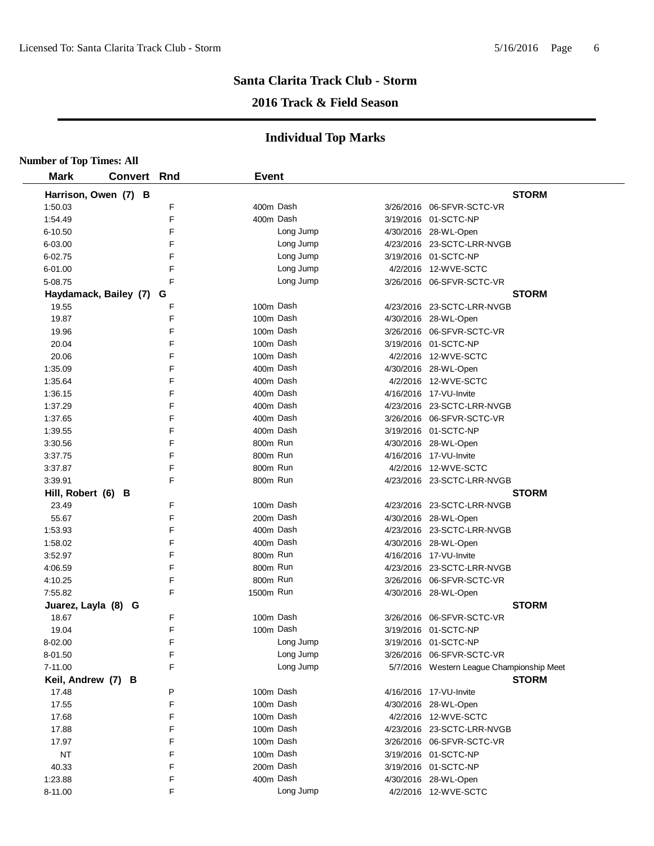#### **2016 Track & Field Season**

| <b>Number of Top Times: All</b> |                         |   |              |           |                                           |
|---------------------------------|-------------------------|---|--------------|-----------|-------------------------------------------|
| <b>Mark</b>                     | <b>Convert Rnd</b>      |   | <b>Event</b> |           |                                           |
|                                 | Harrison, Owen (7) B    |   |              |           | <b>STORM</b>                              |
| 1:50.03                         |                         | F |              | 400m Dash | 3/26/2016 06-SFVR-SCTC-VR                 |
| 1:54.49                         |                         | E |              | 400m Dash | 3/19/2016 01-SCTC-NP                      |
| 6-10.50                         |                         | F |              | Long Jump | 4/30/2016 28-WL-Open                      |
| 6-03.00                         |                         | F |              | Long Jump | 4/23/2016 23-SCTC-LRR-NVGB                |
| 6-02.75                         |                         | F |              | Long Jump | 3/19/2016 01-SCTC-NP                      |
| 6-01.00                         |                         | F |              | Long Jump | 4/2/2016 12-WVE-SCTC                      |
| 5-08.75                         |                         | F |              | Long Jump | 3/26/2016 06-SFVR-SCTC-VR                 |
|                                 | Haydamack, Bailey (7) G |   |              |           | <b>STORM</b>                              |
| 19.55                           |                         | F |              | 100m Dash | 4/23/2016 23-SCTC-LRR-NVGB                |
| 19.87                           |                         | F |              | 100m Dash | 4/30/2016 28-WL-Open                      |
| 19.96                           |                         | F |              | 100m Dash | 3/26/2016 06-SFVR-SCTC-VR                 |
| 20.04                           |                         | F |              | 100m Dash | 3/19/2016 01-SCTC-NP                      |
| 20.06                           |                         | F |              | 100m Dash | 4/2/2016 12-WVE-SCTC                      |
| 1:35.09                         |                         | F |              | 400m Dash | 4/30/2016 28-WL-Open                      |
| 1:35.64                         |                         | F |              | 400m Dash | 4/2/2016 12-WVE-SCTC                      |
| 1:36.15                         |                         | F |              | 400m Dash | 4/16/2016 17-VU-Invite                    |
| 1:37.29                         |                         | F |              | 400m Dash | 4/23/2016 23-SCTC-LRR-NVGB                |
| 1:37.65                         |                         | F |              | 400m Dash | 3/26/2016 06-SFVR-SCTC-VR                 |
| 1:39.55                         |                         | F |              | 400m Dash | 3/19/2016 01-SCTC-NP                      |
| 3:30.56                         |                         | F | 800m Run     |           | 4/30/2016 28-WL-Open                      |
| 3:37.75                         |                         | F | 800m Run     |           | 4/16/2016 17-VU-Invite                    |
| 3:37.87                         |                         | F | 800m Run     |           | 4/2/2016 12-WVE-SCTC                      |
| 3:39.91                         |                         | F | 800m Run     |           | 4/23/2016 23-SCTC-LRR-NVGB                |
| Hill, Robert (6) B              |                         |   |              |           | <b>STORM</b>                              |
| 23.49                           |                         | F |              | 100m Dash | 4/23/2016 23-SCTC-LRR-NVGB                |
| 55.67                           |                         | F |              | 200m Dash | 4/30/2016 28-WL-Open                      |
| 1:53.93                         |                         | E |              | 400m Dash | 4/23/2016 23-SCTC-LRR-NVGB                |
| 1:58.02                         |                         | F |              | 400m Dash | 4/30/2016 28-WL-Open                      |
| 3:52.97                         |                         | F | 800m Run     |           | 4/16/2016 17-VU-Invite                    |
| 4:06.59                         |                         | F | 800m Run     |           | 4/23/2016 23-SCTC-LRR-NVGB                |
| 4:10.25                         |                         | F | 800m Run     |           | 3/26/2016 06-SFVR-SCTC-VR                 |
| 7:55.82                         |                         | F | 1500m Run    |           | 4/30/2016 28-WL-Open                      |
| Juarez, Layla (8) G             |                         |   |              |           | <b>STORM</b>                              |
| 18.67                           |                         | F |              | 100m Dash | 3/26/2016 06-SFVR-SCTC-VR                 |
| 19.04                           |                         | F |              | 100m Dash | 3/19/2016 01-SCTC-NP                      |
| 8-02.00                         |                         | F |              | Long Jump | 3/19/2016 01-SCTC-NP                      |
| 8-01.50                         |                         | F |              | Long Jump | 3/26/2016 06-SFVR-SCTC-VR                 |
| 7-11.00                         |                         | F |              | Long Jump | 5/7/2016 Western League Championship Meet |
| Keil, Andrew (7) B              |                         |   |              |           | <b>STORM</b>                              |
| 17.48                           |                         | P |              | 100m Dash | 4/16/2016 17-VU-Invite                    |
| 17.55                           |                         | F |              | 100m Dash | 4/30/2016 28-WL-Open                      |
| 17.68                           |                         | F |              | 100m Dash | 4/2/2016 12-WVE-SCTC                      |
| 17.88                           |                         | F |              | 100m Dash | 4/23/2016 23-SCTC-LRR-NVGB                |
| 17.97                           |                         | F |              | 100m Dash | 3/26/2016 06-SFVR-SCTC-VR                 |
| <b>NT</b>                       |                         | F |              | 100m Dash | 3/19/2016 01-SCTC-NP                      |
| 40.33                           |                         | F |              | 200m Dash | 3/19/2016 01-SCTC-NP                      |
| 1:23.88                         |                         | F |              | 400m Dash | 4/30/2016 28-WL-Open                      |
| 8-11.00                         |                         | F |              | Long Jump | 4/2/2016 12-WVE-SCTC                      |
|                                 |                         |   |              |           |                                           |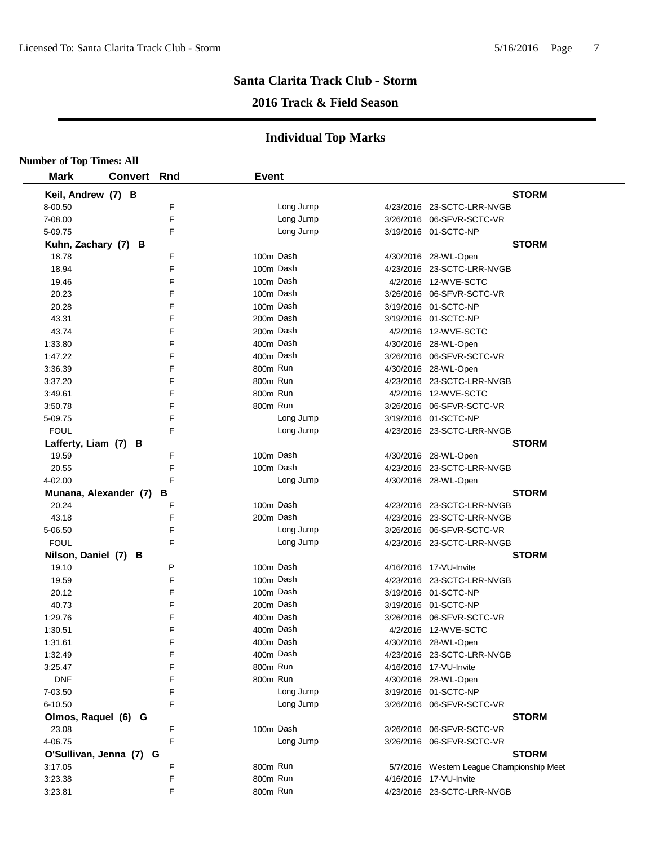#### **2016 Track & Field Season**

| <b>Number of Top Times: All</b> |                    |   |              |           |                                                    |  |
|---------------------------------|--------------------|---|--------------|-----------|----------------------------------------------------|--|
| <b>Mark</b>                     | <b>Convert Rnd</b> |   | <b>Event</b> |           |                                                    |  |
| Keil, Andrew (7) B              |                    |   |              |           | <b>STORM</b>                                       |  |
| 8-00.50                         |                    | F |              | Long Jump | 4/23/2016 23-SCTC-LRR-NVGB                         |  |
| 7-08.00                         |                    | F |              | Long Jump | 3/26/2016 06-SFVR-SCTC-VR                          |  |
| 5-09.75                         |                    | F |              | Long Jump | 3/19/2016 01-SCTC-NP                               |  |
| Kuhn, Zachary (7) B             |                    |   |              |           | <b>STORM</b>                                       |  |
| 18.78                           |                    | F |              | 100m Dash | 4/30/2016 28-WL-Open                               |  |
| 18.94                           |                    | F |              | 100m Dash | 4/23/2016 23-SCTC-LRR-NVGB                         |  |
| 19.46                           |                    | F |              | 100m Dash | 4/2/2016 12-WVE-SCTC                               |  |
| 20.23                           |                    | F |              | 100m Dash | 3/26/2016 06-SFVR-SCTC-VR                          |  |
| 20.28                           |                    | F | 100m Dash    |           | 3/19/2016 01-SCTC-NP                               |  |
| 43.31                           |                    | F |              | 200m Dash | 3/19/2016 01-SCTC-NP                               |  |
| 43.74                           |                    | F |              | 200m Dash | 4/2/2016 12-WVE-SCTC                               |  |
| 1:33.80                         |                    | F |              | 400m Dash | 4/30/2016 28-WL-Open                               |  |
| 1:47.22                         |                    | F |              | 400m Dash | 3/26/2016 06-SFVR-SCTC-VR                          |  |
| 3:36.39                         |                    | F | 800m Run     |           | 4/30/2016 28-WL-Open                               |  |
| 3:37.20                         |                    | F | 800m Run     |           | 4/23/2016 23-SCTC-LRR-NVGB                         |  |
| 3:49.61                         |                    | F | 800m Run     |           | 4/2/2016 12-WVE-SCTC                               |  |
| 3:50.78                         |                    | F | 800m Run     |           | 3/26/2016 06-SFVR-SCTC-VR                          |  |
| 5-09.75                         |                    | F |              | Long Jump | 3/19/2016 01-SCTC-NP                               |  |
| <b>FOUL</b>                     |                    | F |              | Long Jump | 4/23/2016 23-SCTC-LRR-NVGB                         |  |
|                                 |                    |   |              |           | <b>STORM</b>                                       |  |
| Lafferty, Liam (7) B<br>19.59   |                    | F |              | 100m Dash |                                                    |  |
| 20.55                           |                    | F |              | 100m Dash | 4/30/2016 28-WL-Open<br>4/23/2016 23-SCTC-LRR-NVGB |  |
|                                 |                    | F |              | Long Jump |                                                    |  |
| 4-02.00                         |                    |   |              |           | 4/30/2016 28-WL-Open                               |  |
| Munana, Alexander (7) B         |                    | F | 100m Dash    |           | <b>STORM</b>                                       |  |
| 20.24                           |                    | F |              | 200m Dash | 4/23/2016 23-SCTC-LRR-NVGB                         |  |
| 43.18                           |                    | F |              |           | 4/23/2016 23-SCTC-LRR-NVGB                         |  |
| 5-06.50                         |                    |   |              | Long Jump | 3/26/2016 06-SFVR-SCTC-VR                          |  |
| <b>FOUL</b>                     |                    | F |              | Long Jump | 4/23/2016 23-SCTC-LRR-NVGB                         |  |
| Nilson, Daniel (7) B            |                    |   |              | 100m Dash | <b>STORM</b>                                       |  |
| 19.10                           |                    | P |              | 100m Dash | 4/16/2016 17-VU-Invite                             |  |
| 19.59                           |                    | F |              |           | 4/23/2016 23-SCTC-LRR-NVGB                         |  |
| 20.12                           |                    | F |              | 100m Dash | 3/19/2016 01-SCTC-NP                               |  |
| 40.73                           |                    | F |              | 200m Dash | 3/19/2016 01-SCTC-NP                               |  |
| 1:29.76                         |                    | F |              | 400m Dash | 3/26/2016 06-SFVR-SCTC-VR                          |  |
| 1:30.51                         |                    | F |              | 400m Dash | 4/2/2016 12-WVE-SCTC                               |  |
| 1:31.61                         |                    | F |              | 400m Dash | 4/30/2016 28-WL-Open                               |  |
| 1:32.49                         |                    | F |              | 400m Dash | 4/23/2016 23-SCTC-LRR-NVGB                         |  |
| 3:25.47                         |                    | F | 800m Run     |           | 4/16/2016 17-VU-Invite                             |  |
| <b>DNF</b>                      |                    | F | 800m Run     |           | 4/30/2016 28-WL-Open                               |  |
| 7-03.50                         |                    | F |              | Long Jump | 3/19/2016 01-SCTC-NP                               |  |
| 6-10.50                         |                    | F |              | Long Jump | 3/26/2016 06-SFVR-SCTC-VR                          |  |
| Olmos, Raquel (6) G             |                    |   |              |           | <b>STORM</b>                                       |  |
| 23.08                           |                    | F |              | 100m Dash | 3/26/2016 06-SFVR-SCTC-VR                          |  |
| 4-06.75                         |                    | F |              | Long Jump | 3/26/2016 06-SFVR-SCTC-VR                          |  |
| O'Sullivan, Jenna (7) G         |                    |   |              |           | <b>STORM</b>                                       |  |
| 3:17.05                         |                    | F | 800m Run     |           | 5/7/2016 Western League Championship Meet          |  |
| 3:23.38                         |                    | F | 800m Run     |           | 4/16/2016 17-VU-Invite                             |  |
| 3:23.81                         |                    | F | 800m Run     |           | 4/23/2016 23-SCTC-LRR-NVGB                         |  |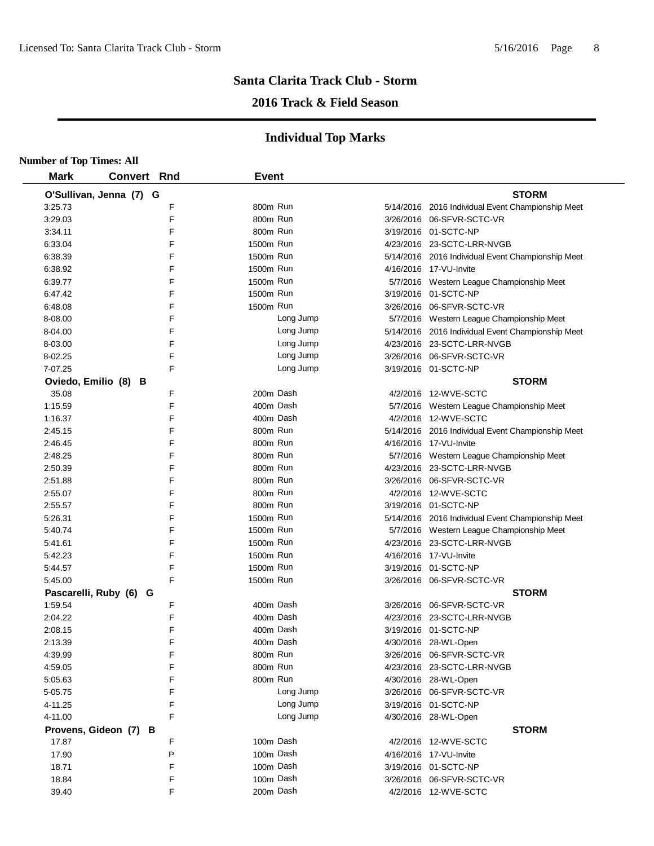## **2016 Track & Field Season**

| <b>Number of Top Times: All</b> |                         |   |              |           |                                                   |
|---------------------------------|-------------------------|---|--------------|-----------|---------------------------------------------------|
| <b>Mark</b>                     | <b>Convert Rnd</b>      |   | <b>Event</b> |           |                                                   |
|                                 | O'Sullivan, Jenna (7) G |   |              |           | <b>STORM</b>                                      |
| 3:25.73                         |                         | F | 800m Run     |           | 5/14/2016 2016 Individual Event Championship Meet |
| 3:29.03                         |                         | F | 800m Run     |           | 3/26/2016 06-SFVR-SCTC-VR                         |
| 3:34.11                         |                         | F | 800m Run     |           | 3/19/2016 01-SCTC-NP                              |
| 6:33.04                         |                         | F | 1500m Run    |           | 4/23/2016 23-SCTC-LRR-NVGB                        |
| 6:38.39                         |                         | F | 1500m Run    |           | 5/14/2016 2016 Individual Event Championship Meet |
| 6:38.92                         |                         | F | 1500m Run    |           | 4/16/2016 17-VU-Invite                            |
| 6:39.77                         |                         | F | 1500m Run    |           | 5/7/2016 Western League Championship Meet         |
| 6:47.42                         |                         | F | 1500m Run    |           | 3/19/2016 01-SCTC-NP                              |
| 6:48.08                         |                         | F | 1500m Run    |           | 3/26/2016 06-SFVR-SCTC-VR                         |
| 8-08.00                         |                         | F |              | Long Jump | 5/7/2016 Western League Championship Meet         |
| 8-04.00                         |                         | F |              | Long Jump | 5/14/2016 2016 Individual Event Championship Meet |
| 8-03.00                         |                         | F |              | Long Jump | 4/23/2016 23-SCTC-LRR-NVGB                        |
| 8-02.25                         |                         | F |              | Long Jump | 3/26/2016 06-SFVR-SCTC-VR                         |
| 7-07.25                         |                         | F |              | Long Jump | 3/19/2016 01-SCTC-NP                              |
|                                 | Oviedo, Emilio (8) B    |   |              |           | <b>STORM</b>                                      |
| 35.08                           |                         | F | 200m Dash    |           | 4/2/2016 12-WVE-SCTC                              |
| 1:15.59                         |                         | F | 400m Dash    |           | 5/7/2016 Western League Championship Meet         |
| 1:16.37                         |                         | F | 400m Dash    |           | 4/2/2016 12-WVE-SCTC                              |
| 2:45.15                         |                         | F | 800m Run     |           | 5/14/2016 2016 Individual Event Championship Meet |
| 2:46.45                         |                         | F | 800m Run     |           | 4/16/2016 17-VU-Invite                            |
| 2:48.25                         |                         | F | 800m Run     |           | 5/7/2016 Western League Championship Meet         |
| 2:50.39                         |                         | F | 800m Run     |           | 4/23/2016 23-SCTC-LRR-NVGB                        |
| 2:51.88                         |                         | F | 800m Run     |           | 3/26/2016 06-SFVR-SCTC-VR                         |
| 2:55.07                         |                         | F | 800m Run     |           | 4/2/2016 12-WVE-SCTC                              |
| 2:55.57                         |                         | F | 800m Run     |           | 3/19/2016 01-SCTC-NP                              |
| 5:26.31                         |                         | F | 1500m Run    |           | 5/14/2016 2016 Individual Event Championship Meet |
| 5:40.74                         |                         | F | 1500m Run    |           | 5/7/2016 Western League Championship Meet         |
| 5:41.61                         |                         | F | 1500m Run    |           | 4/23/2016 23-SCTC-LRR-NVGB                        |
| 5:42.23                         |                         | F | 1500m Run    |           | 4/16/2016 17-VU-Invite                            |
| 5:44.57                         |                         | F | 1500m Run    |           | 3/19/2016 01-SCTC-NP                              |
| 5:45.00                         |                         | F | 1500m Run    |           | 3/26/2016 06-SFVR-SCTC-VR                         |
|                                 | Pascarelli, Ruby (6) G  |   |              |           | <b>STORM</b>                                      |
| 1:59.54                         |                         | F | 400m Dash    |           | 3/26/2016 06-SFVR-SCTC-VR                         |
| 2:04.22                         |                         | F | 400m Dash    |           | 4/23/2016 23-SCTC-LRR-NVGB                        |
| 2:08.15                         |                         | F | 400m Dash    |           | 3/19/2016 01-SCTC-NP                              |
| 2:13.39                         |                         | F | 400m Dash    |           | 4/30/2016 28-WL-Open                              |
| 4:39.99                         |                         | F | 800m Run     |           | 3/26/2016 06-SFVR-SCTC-VR                         |
| 4:59.05                         |                         | F | 800m Run     |           | 4/23/2016 23-SCTC-LRR-NVGB                        |
| 5:05.63                         |                         | F | 800m Run     |           | 4/30/2016 28-WL-Open                              |
| 5-05.75                         |                         | F |              | Long Jump | 3/26/2016 06-SFVR-SCTC-VR                         |
| 4-11.25                         |                         | F |              | Long Jump | 3/19/2016 01-SCTC-NP                              |
| 4-11.00                         |                         | F |              | Long Jump | 4/30/2016 28-WL-Open                              |
|                                 | Provens, Gideon (7) B   |   |              |           | <b>STORM</b>                                      |
| 17.87                           |                         | F | 100m Dash    |           | 4/2/2016 12-WVE-SCTC                              |
| 17.90                           |                         | P | 100m Dash    |           | 4/16/2016 17-VU-Invite                            |
| 18.71                           |                         | F | 100m Dash    |           | 3/19/2016 01-SCTC-NP                              |
| 18.84                           |                         | F | 100m Dash    |           | 3/26/2016 06-SFVR-SCTC-VR                         |
| 39.40                           |                         | F | 200m Dash    |           | 4/2/2016 12-WVE-SCTC                              |
|                                 |                         |   |              |           |                                                   |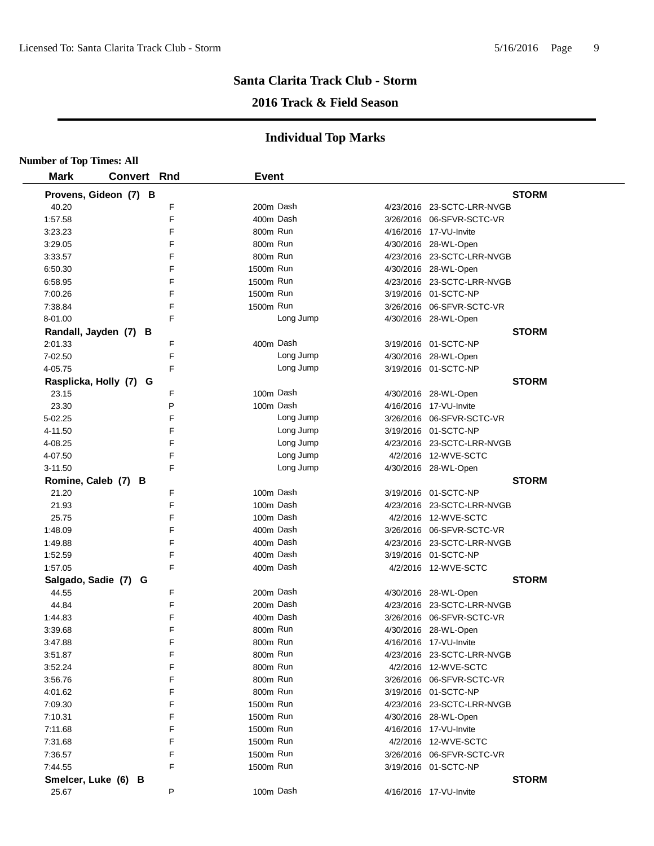## **2016 Track & Field Season**

|             | <b>Number of Top Times: All</b> |        |              |           |                            |
|-------------|---------------------------------|--------|--------------|-----------|----------------------------|
| <b>Mark</b> | Convert Rnd                     |        | <b>Event</b> |           |                            |
|             | Provens, Gideon (7) B           |        |              |           | <b>STORM</b>               |
| 40.20       |                                 | F      |              | 200m Dash | 4/23/2016 23-SCTC-LRR-NVGB |
| 1:57.58     |                                 | E      |              | 400m Dash | 3/26/2016 06-SFVR-SCTC-VR  |
| 3:23.23     |                                 | F      | 800m Run     |           | 4/16/2016 17-VU-Invite     |
| 3:29.05     |                                 | F      | 800m Run     |           | 4/30/2016 28-WL-Open       |
| 3:33.57     |                                 | F      | 800m Run     |           | 4/23/2016 23-SCTC-LRR-NVGB |
| 6:50.30     |                                 | F      | 1500m Run    |           | 4/30/2016 28-WL-Open       |
| 6:58.95     |                                 | F      | 1500m Run    |           | 4/23/2016 23-SCTC-LRR-NVGB |
| 7:00.26     |                                 | F      | 1500m Run    |           | 3/19/2016 01-SCTC-NP       |
| 7:38.84     |                                 | F      | 1500m Run    |           | 3/26/2016 06-SFVR-SCTC-VR  |
| 8-01.00     |                                 | F      |              | Long Jump | 4/30/2016 28-WL-Open       |
|             | Randall, Jayden (7) B           |        |              |           | <b>STORM</b>               |
| 2:01.33     |                                 | F      |              | 400m Dash | 3/19/2016 01-SCTC-NP       |
| 7-02.50     |                                 | F      |              | Long Jump | 4/30/2016 28-WL-Open       |
| 4-05.75     |                                 | F      |              | Long Jump | 3/19/2016 01-SCTC-NP       |
|             | Rasplicka, Holly (7) G          |        |              |           | <b>STORM</b>               |
| 23.15       |                                 | F      |              | 100m Dash | 4/30/2016 28-WL-Open       |
| 23.30       |                                 | P      |              | 100m Dash | 4/16/2016 17-VU-Invite     |
| 5-02.25     |                                 | F      |              | Long Jump | 3/26/2016 06-SFVR-SCTC-VR  |
| 4-11.50     |                                 | F      |              | Long Jump | 3/19/2016 01-SCTC-NP       |
| 4-08.25     |                                 | F      |              | Long Jump | 4/23/2016 23-SCTC-LRR-NVGB |
| 4-07.50     |                                 | F      |              | Long Jump | 4/2/2016 12-WVE-SCTC       |
| $3 - 11.50$ |                                 | F      |              | Long Jump | 4/30/2016 28-WL-Open       |
|             | Romine, Caleb (7) B             |        |              |           | <b>STORM</b>               |
| 21.20       |                                 | F      |              | 100m Dash | 3/19/2016 01-SCTC-NP       |
| 21.93       |                                 | E      |              | 100m Dash | 4/23/2016 23-SCTC-LRR-NVGB |
| 25.75       |                                 | F      |              | 100m Dash | 4/2/2016 12-WVE-SCTC       |
| 1:48.09     |                                 | E      |              | 400m Dash | 3/26/2016 06-SFVR-SCTC-VR  |
|             |                                 | F      |              | 400m Dash |                            |
| 1:49.88     |                                 | F      |              | 400m Dash | 4/23/2016 23-SCTC-LRR-NVGB |
| 1:52.59     |                                 | F      |              |           | 3/19/2016 01-SCTC-NP       |
| 1:57.05     |                                 |        |              | 400m Dash | 4/2/2016 12-WVE-SCTC       |
|             | Salgado, Sadie (7) G            | F      |              | 200m Dash | <b>STORM</b>               |
| 44.55       |                                 | F      |              |           | 4/30/2016 28-WL-Open       |
| 44.84       |                                 |        |              | 200m Dash | 4/23/2016 23-SCTC-LRR-NVGB |
| 1:44.83     |                                 | F<br>F |              | 400m Dash | 3/26/2016 06-SFVR-SCTC-VR  |
| 3:39.68     |                                 |        | 800m Run     |           | 4/30/2016 28-WL-Open       |
| 3:47.88     |                                 | F      | 800m Run     |           | 4/16/2016 17-VU-Invite     |
| 3:51.87     |                                 | F      | 800m Run     |           | 4/23/2016 23-SCTC-LRR-NVGB |
| 3:52.24     |                                 | F      | 800m Run     |           | 4/2/2016 12-WVE-SCTC       |
| 3:56.76     |                                 | F      | 800m Run     |           | 3/26/2016 06-SFVR-SCTC-VR  |
| 4:01.62     |                                 | F      | 800m Run     |           | 3/19/2016 01-SCTC-NP       |
| 7:09.30     |                                 | F      | 1500m Run    |           | 4/23/2016 23-SCTC-LRR-NVGB |
| 7:10.31     |                                 | F      | 1500m Run    |           | 4/30/2016 28-WL-Open       |
| 7:11.68     |                                 | F      | 1500m Run    |           | 4/16/2016 17-VU-Invite     |
| 7:31.68     |                                 | F      | 1500m Run    |           | 4/2/2016 12-WVE-SCTC       |
| 7:36.57     |                                 | F      | 1500m Run    |           | 3/26/2016 06-SFVR-SCTC-VR  |
| 7:44.55     |                                 | F      | 1500m Run    |           | 3/19/2016 01-SCTC-NP       |
|             | Smelcer, Luke (6) B             |        |              |           | <b>STORM</b>               |
| 25.67       |                                 | P      |              | 100m Dash | 4/16/2016 17-VU-Invite     |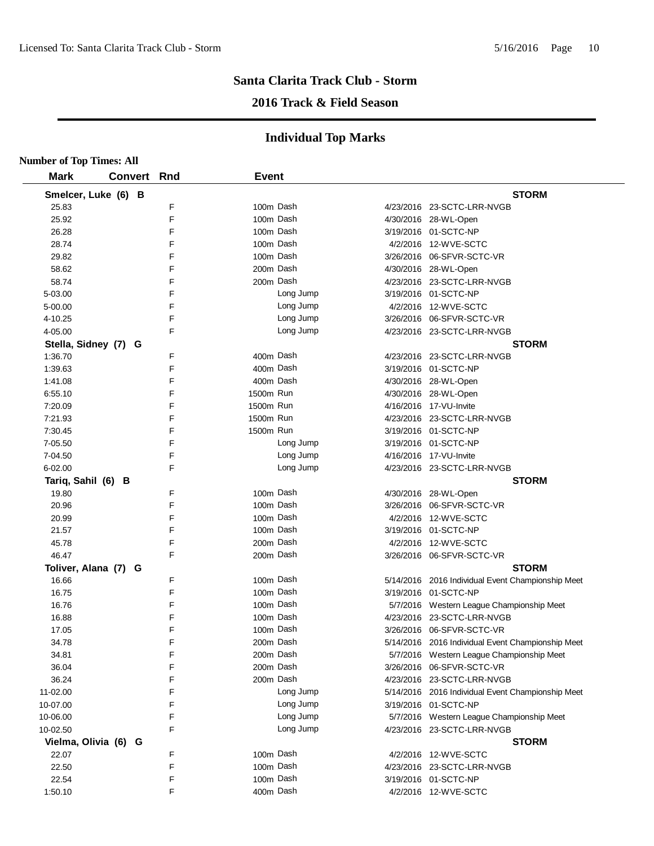## **2016 Track & Field Season**

| <b>Number of Top Times: All</b> |                      |   |              |           |                                                                           |
|---------------------------------|----------------------|---|--------------|-----------|---------------------------------------------------------------------------|
| <b>Mark</b>                     | <b>Convert Rnd</b>   |   | <b>Event</b> |           |                                                                           |
|                                 | Smelcer, Luke (6) B  |   |              |           | <b>STORM</b>                                                              |
| 25.83                           |                      | F |              | 100m Dash | 4/23/2016 23-SCTC-LRR-NVGB                                                |
| 25.92                           |                      | F |              | 100m Dash | 4/30/2016 28-WL-Open                                                      |
| 26.28                           |                      | F |              | 100m Dash | 3/19/2016 01-SCTC-NP                                                      |
| 28.74                           |                      | F |              | 100m Dash | 4/2/2016 12-WVE-SCTC                                                      |
| 29.82                           |                      | F | 100m Dash    |           | 3/26/2016 06-SFVR-SCTC-VR                                                 |
| 58.62                           |                      | F |              | 200m Dash | 4/30/2016 28-WL-Open                                                      |
| 58.74                           |                      | F |              | 200m Dash | 4/23/2016 23-SCTC-LRR-NVGB                                                |
| 5-03.00                         |                      | F |              | Long Jump | 3/19/2016 01-SCTC-NP                                                      |
| 5-00.00                         |                      | F |              | Long Jump | 4/2/2016 12-WVE-SCTC                                                      |
| 4-10.25                         |                      | F |              | Long Jump | 3/26/2016 06-SFVR-SCTC-VR                                                 |
| 4-05.00                         |                      | F |              | Long Jump | 4/23/2016 23-SCTC-LRR-NVGB                                                |
|                                 | Stella, Sidney (7) G |   |              |           | <b>STORM</b>                                                              |
| 1:36.70                         |                      | F |              | 400m Dash | 4/23/2016 23-SCTC-LRR-NVGB                                                |
| 1:39.63                         |                      | F |              | 400m Dash | 3/19/2016 01-SCTC-NP                                                      |
| 1:41.08                         |                      | F |              | 400m Dash | 4/30/2016 28-WL-Open                                                      |
| 6:55.10                         |                      | F | 1500m Run    |           | 4/30/2016 28-WL-Open                                                      |
| 7:20.09                         |                      | F | 1500m Run    |           | 4/16/2016 17-VU-Invite                                                    |
| 7:21.93                         |                      | F | 1500m Run    |           | 4/23/2016 23-SCTC-LRR-NVGB                                                |
| 7:30.45                         |                      | F | 1500m Run    |           | 3/19/2016 01-SCTC-NP                                                      |
| 7-05.50                         |                      | F |              | Long Jump | 3/19/2016 01-SCTC-NP                                                      |
| 7-04.50                         |                      | F |              | Long Jump | 4/16/2016 17-VU-Invite                                                    |
| 6-02.00                         |                      | F |              | Long Jump | 4/23/2016 23-SCTC-LRR-NVGB                                                |
| Tariq, Sahil (6) B              |                      |   |              |           | <b>STORM</b>                                                              |
| 19.80                           |                      | F |              | 100m Dash | 4/30/2016 28-WL-Open                                                      |
| 20.96                           |                      | F |              | 100m Dash | 3/26/2016 06-SFVR-SCTC-VR                                                 |
| 20.99                           |                      | F |              | 100m Dash | 4/2/2016 12-WVE-SCTC                                                      |
| 21.57                           |                      | F |              | 100m Dash | 3/19/2016 01-SCTC-NP                                                      |
| 45.78                           |                      | F |              | 200m Dash | 4/2/2016 12-WVE-SCTC                                                      |
| 46.47                           |                      | E |              | 200m Dash | 3/26/2016 06-SFVR-SCTC-VR                                                 |
|                                 |                      |   |              |           |                                                                           |
| 16.66                           | Toliver, Alana (7) G | F |              | 100m Dash | <b>STORM</b>                                                              |
|                                 |                      | F |              | 100m Dash | 5/14/2016 2016 Individual Event Championship Meet<br>3/19/2016 01-SCTC-NP |
| 16.75                           |                      | F |              | 100m Dash |                                                                           |
| 16.76                           |                      | F |              | 100m Dash | 5/7/2016 Western League Championship Meet                                 |
| 16.88                           |                      | F |              |           | 4/23/2016 23-SCTC-LRR-NVGB                                                |
| 17.05                           |                      |   |              | 100m Dash | 3/26/2016 06-SFVR-SCTC-VR                                                 |
| 34.78                           |                      | F |              | 200m Dash | 5/14/2016 2016 Individual Event Championship Meet                         |
| 34.81                           |                      | F |              | 200m Dash | 5/7/2016 Western League Championship Meet                                 |
| 36.04                           |                      | F |              | 200m Dash | 3/26/2016 06-SFVR-SCTC-VR                                                 |
| 36.24                           |                      | F |              | 200m Dash | 4/23/2016 23-SCTC-LRR-NVGB                                                |
| 11-02.00                        |                      | F |              | Long Jump | 5/14/2016 2016 Individual Event Championship Meet                         |
| 10-07.00                        |                      | F |              | Long Jump | 3/19/2016 01-SCTC-NP                                                      |
| 10-06.00                        |                      | F |              | Long Jump | 5/7/2016 Western League Championship Meet                                 |
| 10-02.50                        |                      | F |              | Long Jump | 4/23/2016 23-SCTC-LRR-NVGB                                                |
|                                 | Vielma, Olivia (6) G |   |              |           | <b>STORM</b>                                                              |
| 22.07                           |                      | F |              | 100m Dash | 4/2/2016 12-WVE-SCTC                                                      |
| 22.50                           |                      | F |              | 100m Dash | 4/23/2016 23-SCTC-LRR-NVGB                                                |
| 22.54                           |                      | F |              | 100m Dash | 3/19/2016 01-SCTC-NP                                                      |
| 1:50.10                         |                      | F |              | 400m Dash | 4/2/2016 12-WVE-SCTC                                                      |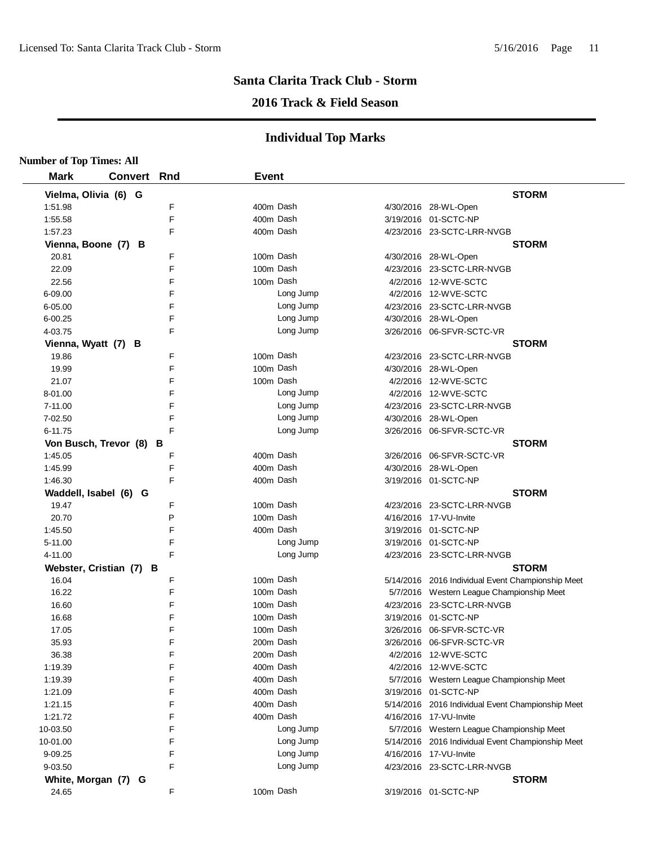#### **2016 Track & Field Season**

| <b>Number of Top Times: All</b> |             |   |              |           |                                                   |
|---------------------------------|-------------|---|--------------|-----------|---------------------------------------------------|
| <b>Mark</b>                     | Convert Rnd |   | <b>Event</b> |           |                                                   |
| Vielma, Olivia (6) G            |             |   |              |           | <b>STORM</b>                                      |
| 1:51.98                         |             | F |              | 400m Dash | 4/30/2016 28-WL-Open                              |
| 1:55.58                         |             | F |              | 400m Dash | 3/19/2016 01-SCTC-NP                              |
| 1:57.23                         |             | F |              | 400m Dash | 4/23/2016 23-SCTC-LRR-NVGB                        |
| Vienna, Boone (7) B             |             |   |              |           | <b>STORM</b>                                      |
| 20.81                           |             | F |              | 100m Dash | 4/30/2016 28-WL-Open                              |
| 22.09                           |             | E |              | 100m Dash | 4/23/2016 23-SCTC-LRR-NVGB                        |
| 22.56                           |             | F |              | 100m Dash | 4/2/2016 12-WVE-SCTC                              |
| 6-09.00                         |             | F |              | Long Jump | 4/2/2016 12-WVE-SCTC                              |
| 6-05.00                         |             | F |              | Long Jump | 4/23/2016 23-SCTC-LRR-NVGB                        |
| $6 - 00.25$                     |             | F |              | Long Jump | 4/30/2016 28-WL-Open                              |
| 4-03.75                         |             | F |              | Long Jump | 3/26/2016 06-SFVR-SCTC-VR                         |
| Vienna, Wyatt (7) B             |             |   |              |           | <b>STORM</b>                                      |
| 19.86                           |             | F |              | 100m Dash | 4/23/2016 23-SCTC-LRR-NVGB                        |
| 19.99                           |             | F |              | 100m Dash | 4/30/2016 28-WL-Open                              |
| 21.07                           |             | F |              | 100m Dash | 4/2/2016 12-WVE-SCTC                              |
| 8-01.00                         |             | F |              | Long Jump | 4/2/2016 12-WVE-SCTC                              |
| 7-11.00                         |             | F |              | Long Jump | 4/23/2016 23-SCTC-LRR-NVGB                        |
| 7-02.50                         |             | F |              | Long Jump | 4/30/2016 28-WL-Open                              |
| 6-11.75                         |             | E |              | Long Jump | 3/26/2016 06-SFVR-SCTC-VR                         |
| Von Busch, Trevor (8) B         |             |   |              |           | <b>STORM</b>                                      |
| 1:45.05                         |             | F |              | 400m Dash | 3/26/2016 06-SFVR-SCTC-VR                         |
| 1:45.99                         |             | F |              | 400m Dash | 4/30/2016 28-WL-Open                              |
| 1:46.30                         |             | F |              | 400m Dash | 3/19/2016 01-SCTC-NP                              |
| Waddell, Isabel (6) G           |             |   |              |           | <b>STORM</b>                                      |
| 19.47                           |             | F |              | 100m Dash | 4/23/2016 23-SCTC-LRR-NVGB                        |
| 20.70                           |             | P |              | 100m Dash | 4/16/2016 17-VU-Invite                            |
| 1:45.50                         |             | F |              | 400m Dash | 3/19/2016 01-SCTC-NP                              |
| 5-11.00                         |             | F |              | Long Jump | 3/19/2016 01-SCTC-NP                              |
| 4-11.00                         |             | F |              | Long Jump | 4/23/2016 23-SCTC-LRR-NVGB                        |
| Webster, Cristian (7) B         |             |   |              |           | <b>STORM</b>                                      |
| 16.04                           |             | F |              | 100m Dash | 5/14/2016 2016 Individual Event Championship Meet |
| 16.22                           |             | F |              | 100m Dash | 5/7/2016 Western League Championship Meet         |
| 16.60                           |             | F |              | 100m Dash | 4/23/2016 23-SCTC-LRR-NVGB                        |
| 16.68                           |             | F |              | 100m Dash | 3/19/2016 01-SCTC-NP                              |
| 17.05                           |             | F |              | 100m Dash |                                                   |
| 35.93                           |             | F |              | 200m Dash |                                                   |
| 36.38                           |             | F |              | 200m Dash | 4/2/2016 12-WVE-SCTC                              |
| 1:19.39                         |             | F |              | 400m Dash | 4/2/2016 12-WVE-SCTC                              |
| 1:19.39                         |             | F |              | 400m Dash | 5/7/2016 Western League Championship Meet         |
| 1:21.09                         |             | F |              | 400m Dash | 3/19/2016 01-SCTC-NP                              |
| 1:21.15                         |             | F |              | 400m Dash | 5/14/2016 2016 Individual Event Championship Meet |
| 1:21.72                         |             | F |              | 400m Dash | 4/16/2016 17-VU-Invite                            |
| 10-03.50                        |             | F |              | Long Jump | 5/7/2016 Western League Championship Meet         |
| 10-01.00                        |             | F |              | Long Jump | 5/14/2016 2016 Individual Event Championship Meet |
| 9-09.25                         |             | F |              | Long Jump | 4/16/2016 17-VU-Invite                            |
| 9-03.50                         |             | F |              | Long Jump |                                                   |
|                                 |             |   |              |           | 4/23/2016 23-SCTC-LRR-NVGB                        |
| White, Morgan (7) G             |             |   |              |           | <b>STORM</b>                                      |
| 24.65                           |             | F |              | 100m Dash | 3/19/2016 01-SCTC-NP                              |